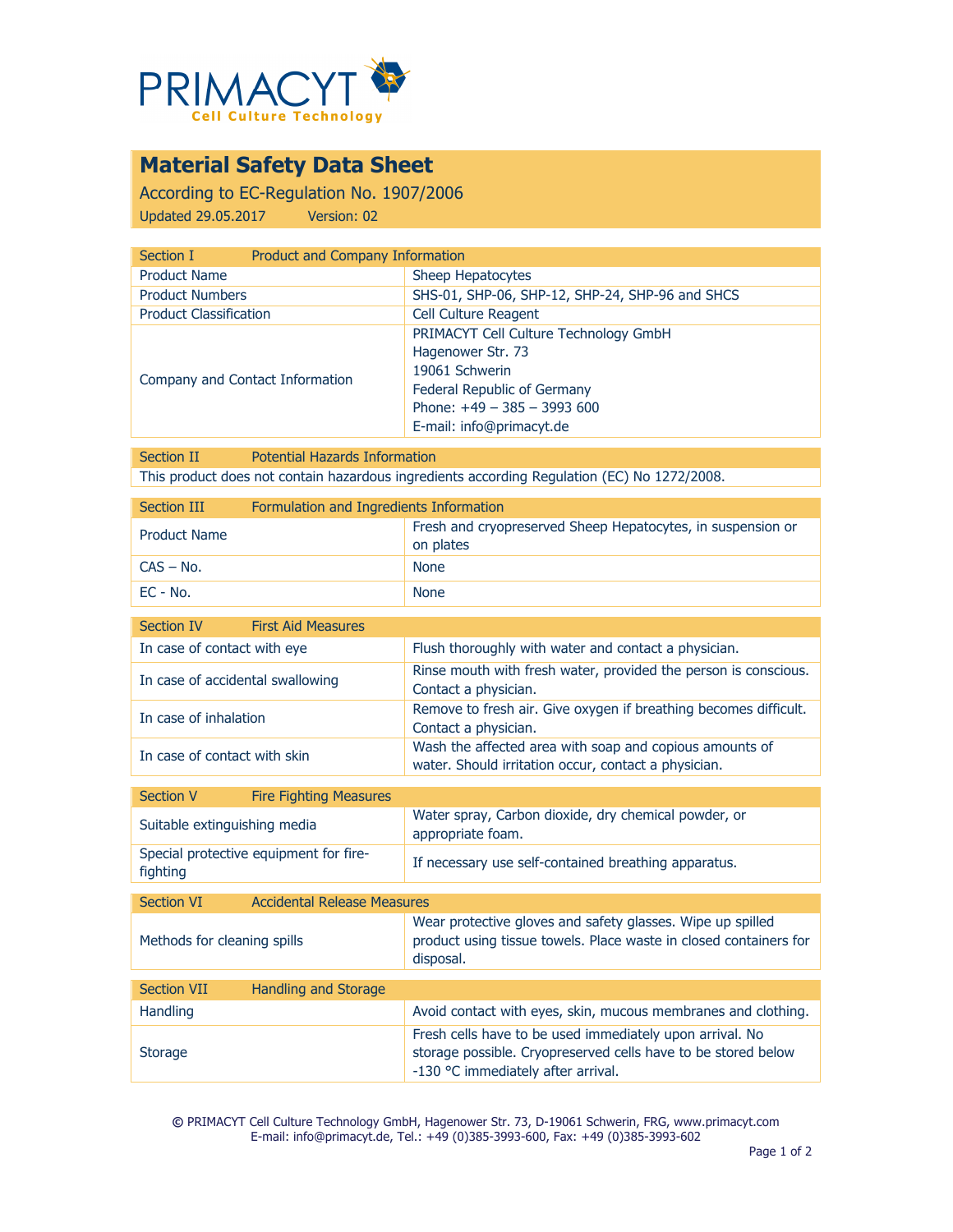

# **Material Safety Data Sheet**

According to EC-Regulation No. 1907/2006 Updated 29.05.2017 Version: 02

| Section I                       | Product and Company Information                                                                                                                                         |  |
|---------------------------------|-------------------------------------------------------------------------------------------------------------------------------------------------------------------------|--|
| <b>Product Name</b>             | Sheep Hepatocytes                                                                                                                                                       |  |
| <b>Product Numbers</b>          | SHS-01, SHP-06, SHP-12, SHP-24, SHP-96 and SHCS                                                                                                                         |  |
| <b>Product Classification</b>   | <b>Cell Culture Reagent</b>                                                                                                                                             |  |
| Company and Contact Information | PRIMACYT Cell Culture Technology GmbH<br>Hagenower Str. 73<br>19061 Schwerin<br>Federal Republic of Germany<br>Phone: $+49 - 385 - 3993600$<br>E-mail: info@primacyt.de |  |

Section II Potential Hazards Information This product does not contain hazardous ingredients according Regulation (EC) No 1272/2008.

| Section III         | Formulation and Ingredients Information |                                                                          |
|---------------------|-----------------------------------------|--------------------------------------------------------------------------|
| <b>Product Name</b> |                                         | Fresh and cryopreserved Sheep Hepatocytes, in suspension or<br>on plates |
| $CAS - No.$         |                                         | <b>None</b>                                                              |
| $EC - No.$          |                                         | <b>None</b>                                                              |

| <b>First Aid Measures</b><br>Section IV                 |                                                                                                                                                                 |  |  |  |
|---------------------------------------------------------|-----------------------------------------------------------------------------------------------------------------------------------------------------------------|--|--|--|
| In case of contact with eye                             | Flush thoroughly with water and contact a physician.                                                                                                            |  |  |  |
| In case of accidental swallowing                        | Rinse mouth with fresh water, provided the person is conscious.<br>Contact a physician.                                                                         |  |  |  |
| In case of inhalation                                   | Remove to fresh air. Give oxygen if breathing becomes difficult.<br>Contact a physician.                                                                        |  |  |  |
| In case of contact with skin                            | Wash the affected area with soap and copious amounts of<br>water. Should irritation occur, contact a physician.                                                 |  |  |  |
| <b>Section V</b><br><b>Fire Fighting Measures</b>       |                                                                                                                                                                 |  |  |  |
| Suitable extinguishing media                            | Water spray, Carbon dioxide, dry chemical powder, or<br>appropriate foam.                                                                                       |  |  |  |
| Special protective equipment for fire-<br>fighting      | If necessary use self-contained breathing apparatus.                                                                                                            |  |  |  |
| <b>Accidental Release Measures</b><br><b>Section VI</b> |                                                                                                                                                                 |  |  |  |
| Methods for cleaning spills                             | Wear protective gloves and safety glasses. Wipe up spilled<br>product using tissue towels. Place waste in closed containers for<br>disposal.                    |  |  |  |
| <b>Section VII</b><br><b>Handling and Storage</b>       |                                                                                                                                                                 |  |  |  |
| Handling                                                | Avoid contact with eyes, skin, mucous membranes and clothing.                                                                                                   |  |  |  |
| <b>Storage</b>                                          | Fresh cells have to be used immediately upon arrival. No<br>storage possible. Cryopreserved cells have to be stored below<br>-130 °C immediately after arrival. |  |  |  |

**©** PRIMACYT Cell Culture Technology GmbH, Hagenower Str. 73, D-19061 Schwerin, FRG, www.primacyt.com E-mail: info@primacyt.de, Tel.: +49 (0)385-3993-600, Fax: +49 (0)385-3993-602